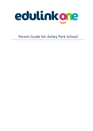

Parent Guide for Astley Park School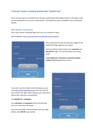# **A Parents' Guide to Getting Started with "Edulink One"**

There are two ways to use Edulink One: through a web browser like Google Chrome or through an app you can download to use on your mobile device. The Edulink One app is available for iOS and Android devices.

## **Web Browser Instructions**

This is your school's individual login link if you use a browser to log in.

Start by going to <https://www.edulinkone.com/#!/login?code=astleypark>



After clicking the link this will take you straight to the Edulink One login page for your school.

Here you will just need to enter your **username** and **password** to login. This will have been sent you by email.

**If you forget your username or password, please contact** bst@astleypark.lancs.sch.uk

If you don't use the school's direct link above as, just visi[t https://www.edulinkone.com/](https://www.edulinkone.com/) then you will see the screen to the right, which requests your school ID as well as your username and password.

#### The **SCHOOL ID** is **astleypark**

Your **username** and **password** which will have been sent out to you from the school.

Once you have filled in all three boxes with your login details, click **LOG IN** to get started.

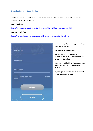# **Downloading and Using the App**

The Edulink One app is available for iOS and Android devices. You can download from these links or search in the App or Play stores.

#### **Apple App Store**

<https://itunes.apple.com/gb/app/edulink-one/id1188809029?mt=8&ign-mpt=uo%3D4>

### **Android Google Play**

<https://play.google.com/store/apps/details?id=com.overnetdata.edulinkone&hl=en>



If you are using the mobile app you will see the screen to the left.

#### The **SCHOOL ID** is **astleypark**

Followed by your **USERNAME** & **PASSWORD** which will have been sent out to you from the school.

Once you have filled in all three boxes with your login details, click **LOG IN** to get started.

**If you forget your username or password, please contact the school.**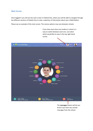## **Main Screen**

Once logged in you will see the main screen in Edulink One, where you will be able to navigate through the different sections of Edulink One to view a selection of information about your child/children.

Please see an example of the main screen. The various options may vary between schools.

If you have more than one student in school, it's easy to switch between each one. Just select which would like to view in the top right-hand corner.



know if you have any unread messages from the school.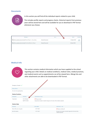## **Documents**



In this section you will find all the individual reports related to your child.

This includes profile reports and progress checks. Historical reports from previous years will be stored here and will be available for you to download in PDF format whenever you choose.

| File Name:                                                  |                  | Type # | Date #        | Download |
|-------------------------------------------------------------|------------------|--------|---------------|----------|
| R.<br>Demo_example_document.pdf School Report - Jimmy Abbey | General Document |        | 13 March 2013 |          |
| Demo_example_document.pdf Individual Behaviour Report       | General Document |        | 8 March 2013  |          |
|                                                             |                  |        |               |          |
|                                                             |                  |        |               |          |

# **Medical Info**



This section contains medical information which you have supplied to the school regarding your child. Details on medical conditions, medical notes, medical practices, and medical events such as appointments can all be viewed here. Allergy lists and other attachments are able to be downloaded in PDF format.

| Emergency Consent:           |                   |                                                                               |                                                                                 |
|------------------------------|-------------------|-------------------------------------------------------------------------------|---------------------------------------------------------------------------------|
| <b>Dietary Needs</b>         |                   |                                                                               |                                                                                 |
| No nuts of any type/quantity |                   |                                                                               |                                                                                 |
| <b>Medical Conditions</b>    |                   |                                                                               |                                                                                 |
| <b>Description</b>           | Summary           | Attachments & notes                                                           |                                                                                 |
| Anaphylaxis                  | list of allergies | Allergy list.pdf                                                              |                                                                                 |
|                              | Epi-Pen Carrier   | Epi-pens are located in student's bag and at the main office medical cupboard |                                                                                 |
| <b>Medical Notes</b>         |                   |                                                                               |                                                                                 |
| Summary                      |                   | Last update                                                                   | Attachment / note                                                               |
| Scan of Epi-pen user guide   |                   | 2017-09-21                                                                    | Epi-pen_Guide.pdf                                                               |
| Epi-Pen location             |                   | 2017-09-21                                                                    | Epi-pens are located in students bag and at the main office<br>medical cupboard |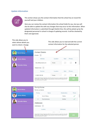# **Update Information**



This section shows you the contact information that the school has on record for yourself and your children.

Here you can review the contact information the school holds for you, but you will also be able to update this with any changes that may occur to this information. When updated information is submitted through Edulink One, this will be picked up by the designated personnel in school in charge of updating records. It will be checked by them and approved.

| This side allows you to<br>select whose details you<br>want to check / change. |                                   | This side allows you to read and edit the current<br>contact information for the selected person.                                                                                     |      |             |  |
|--------------------------------------------------------------------------------|-----------------------------------|---------------------------------------------------------------------------------------------------------------------------------------------------------------------------------------|------|-------------|--|
| <b>David Abbey</b>                                                             | <b>Contact Details</b><br>Emails  |                                                                                                                                                                                       |      |             |  |
| <b>Jimmy Abbey</b>                                                             | <b>Address</b>                    | Location                                                                                                                                                                              | Main | Primary     |  |
| Grenetta Abbey                                                                 | David@example.com                 | Home                                                                                                                                                                                  |      | t           |  |
|                                                                                | Telephones                        |                                                                                                                                                                                       |      |             |  |
|                                                                                | Number                            | Location                                                                                                                                                                              | Main | Primary     |  |
|                                                                                | 01000 100100                      | Home                                                                                                                                                                                  |      | 而           |  |
|                                                                                | Local Authority and with the DfE. | General Data Protection Regulation 2018: The school has a duty to protect this information<br>and to keep it up to date. The school maybe required to share some of the data with the |      | <b>SAVE</b> |  |

| <b>David Abbey</b>    | Family/Home<br>Family contacts                                                                                                                                                                                                            |               |                  |       |  |
|-----------------------|-------------------------------------------------------------------------------------------------------------------------------------------------------------------------------------------------------------------------------------------|---------------|------------------|-------|--|
|                       | Priority                                                                                                                                                                                                                                  | Name          | Relationship     | Phone |  |
| <b>Jimmy Abbey</b>    | 1                                                                                                                                                                                                                                         | David Abbey   | Father           |       |  |
| <b>Grenetta Abbey</b> | $\overline{2}$<br>Addresses                                                                                                                                                                                                               | Pip Americana | Mother           |       |  |
|                       | Addresses                                                                                                                                                                                                                                 |               |                  |       |  |
|                       |                                                                                                                                                                                                                                           | Location      | <b>Addresses</b> |       |  |
|                       | $\sim$<br>n n. n                                                                                                                                                                                                                          |               |                  |       |  |
|                       | General Data Protection Regulation 2018: The school has a duty to protect this information<br><b>SAVE</b><br>and to keep it up to date. The school maybe required to share some of the data with the<br>Local Authority and with the DfE. |               |                  |       |  |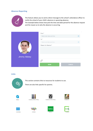# **Absence Reporting**



This feature allows you to send a direct message to the school's attendance officer to notify the school of your child's absence or upcoming absence. The example below shows how pick the time and date period for the absence request and the reason as to why the absence is occurring.



## **Links**



This section contains links to resources for students to use.

There are also links specific for parents.



Academy Uniform Policy











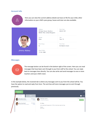## **Account Info**



Here you can view the current address details we have on file for your child, other information on your child's year group, house and tutor are also available.



| <b>Address</b><br>59 High Street, Bedford,<br>MK40 1RZ, United Kingdom | Post Code<br>MK40 1R7 |
|------------------------------------------------------------------------|-----------------------|
| Gender                                                                 | Year                  |
| Male                                                                   | Year 13               |
| Form Group                                                             | Form Tutor            |
| G                                                                      | Mr Martin Unwin       |
| Date Of Birth<br>17-04-1998                                            |                       |

## **Messages**



The message button can be found in the bottom right of the screen. Here you can read messages that have been sent through to you from staff at the school. You can reply back to messages here directly. You can also write and send messages to one or more teachers and your child's tutor.

In the example below, the received tab is where any messages sent to you from the school will be. You have the option to read and reply from here. The sent box will store messages you've sent through previously.

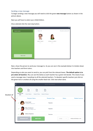#### Sending a new message

To begin sending a new message you will need to click the green **new message** button as shown in the picture above.

Next you will have to select your child/children.

Once selected click the next step button.



Next, chose the person to send your message to. As you can see in the example below it is broken down into teachers and form tutors.

Depending on who you want to send to, you can pick from the relevant boxes. **The default option is to pre-select all teachers. Y**ou can see this below as each teacher has a green tick beside. This means if you send a message now, it would go to all the selected teachers. To deselect specific teachers just click on the green tick or unselect all using the smaller black tick. Click next when done.

|              |                          |                                              | <b>SELECT RECIPIENTS</b>  |                         | X                         |
|--------------|--------------------------|----------------------------------------------|---------------------------|-------------------------|---------------------------|
| Deselect all | ₩<br>Teachers 94<br>(91) | b<br>≌<br>Form Tutors<br><b>Head of Year</b> | ≌<br><b>Head of House</b> |                         |                           |
|              | $\checkmark$             | <b>Recipient Name</b>                        | <b>Recipient Type</b>     | <b>Status</b>           | <b>Related Learners</b>   |
|              |                          | Anita Abell<br>Abell@Hotmail.com             | Teacher                   |                         |                           |
|              |                          | Mary Anderson<br>MAnderson@ga.com            | Teacher                   |                         |                           |
|              |                          | Selina Andrews                               | Teacher                   |                         |                           |
|              | <b>PREVIOUS STEP</b>     | <b>NEXT STEP</b>                             |                           | email<br>$\gamma\gamma$ | <b>UNDELIVERABLE LIST</b> |